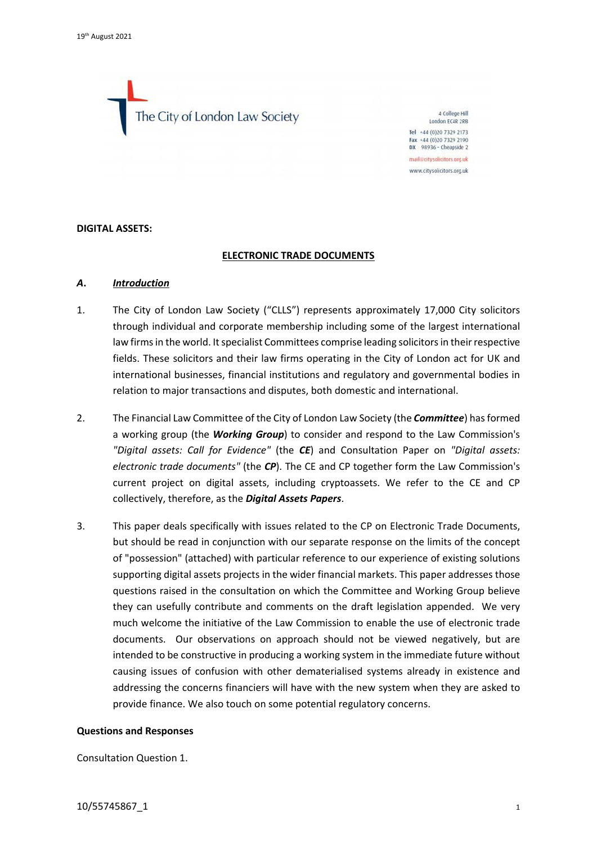The City of London Law Society

4 College Hill London EC4R 2RB Tel +44 (0)20 7329 2173 Fax +44 (0)20 7329 2190  $DX$  98936 - Cheapside 2 mail@citysolicitors.org.uk www.citysolicitors.org.uk

#### **DIGITAL ASSETS:**

### **ELECTRONIC TRADE DOCUMENTS**

### *A***.** *Introduction*

- 1. The City of London Law Society ("CLLS") represents approximately 17,000 City solicitors through individual and corporate membership including some of the largest international law firms in the world. It specialist Committees comprise leading solicitors in their respective fields. These solicitors and their law firms operating in the City of London act for UK and international businesses, financial institutions and regulatory and governmental bodies in relation to major transactions and disputes, both domestic and international.
- 2. The Financial Law Committee of the City of London Law Society (the *Committee*) has formed a working group (the *Working Group*) to consider and respond to the Law Commission's *"Digital assets: Call for Evidence"* (the *CE*) and Consultation Paper on *"Digital assets: electronic trade documents"* (the *CP*). The CE and CP together form the Law Commission's current project on digital assets, including cryptoassets. We refer to the CE and CP collectively, therefore, as the *Digital Assets Papers*.
- 3. This paper deals specifically with issues related to the CP on Electronic Trade Documents, but should be read in conjunction with our separate response on the limits of the concept of "possession" (attached) with particular reference to our experience of existing solutions supporting digital assets projects in the wider financial markets. This paper addresses those questions raised in the consultation on which the Committee and Working Group believe they can usefully contribute and comments on the draft legislation appended. We very much welcome the initiative of the Law Commission to enable the use of electronic trade documents. Our observations on approach should not be viewed negatively, but are intended to be constructive in producing a working system in the immediate future without causing issues of confusion with other dematerialised systems already in existence and addressing the concerns financiers will have with the new system when they are asked to provide finance. We also touch on some potential regulatory concerns.

#### **Questions and Responses**

Consultation Question 1.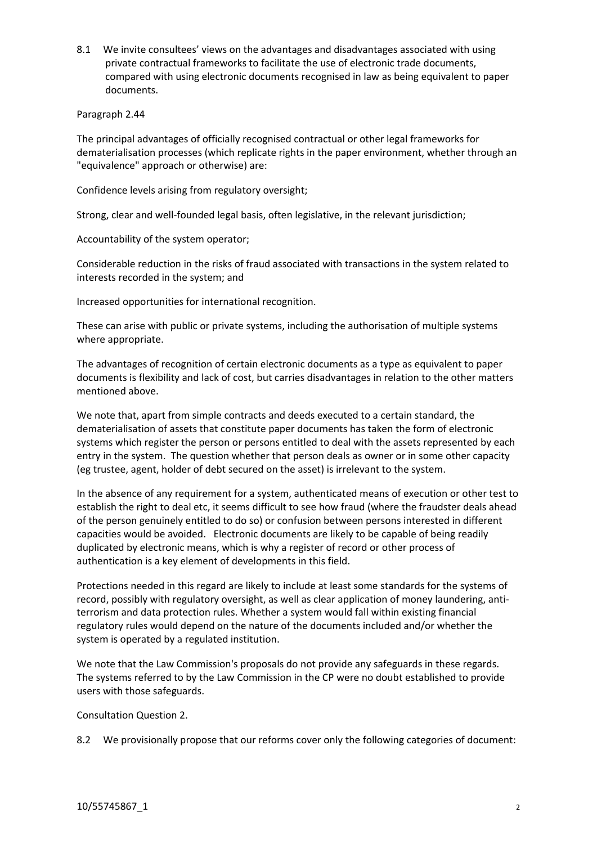8.1 We invite consultees' views on the advantages and disadvantages associated with using private contractual frameworks to facilitate the use of electronic trade documents, compared with using electronic documents recognised in law as being equivalent to paper documents.

Paragraph 2.44

The principal advantages of officially recognised contractual or other legal frameworks for dematerialisation processes (which replicate rights in the paper environment, whether through an "equivalence" approach or otherwise) are:

Confidence levels arising from regulatory oversight;

Strong, clear and well-founded legal basis, often legislative, in the relevant jurisdiction;

Accountability of the system operator;

Considerable reduction in the risks of fraud associated with transactions in the system related to interests recorded in the system; and

Increased opportunities for international recognition.

These can arise with public or private systems, including the authorisation of multiple systems where appropriate.

The advantages of recognition of certain electronic documents as a type as equivalent to paper documents is flexibility and lack of cost, but carries disadvantages in relation to the other matters mentioned above.

We note that, apart from simple contracts and deeds executed to a certain standard, the dematerialisation of assets that constitute paper documents has taken the form of electronic systems which register the person or persons entitled to deal with the assets represented by each entry in the system. The question whether that person deals as owner or in some other capacity (eg trustee, agent, holder of debt secured on the asset) is irrelevant to the system.

In the absence of any requirement for a system, authenticated means of execution or other test to establish the right to deal etc, it seems difficult to see how fraud (where the fraudster deals ahead of the person genuinely entitled to do so) or confusion between persons interested in different capacities would be avoided. Electronic documents are likely to be capable of being readily duplicated by electronic means, which is why a register of record or other process of authentication is a key element of developments in this field.

Protections needed in this regard are likely to include at least some standards for the systems of record, possibly with regulatory oversight, as well as clear application of money laundering, antiterrorism and data protection rules. Whether a system would fall within existing financial regulatory rules would depend on the nature of the documents included and/or whether the system is operated by a regulated institution.

We note that the Law Commission's proposals do not provide any safeguards in these regards. The systems referred to by the Law Commission in the CP were no doubt established to provide users with those safeguards.

Consultation Question 2.

8.2 We provisionally propose that our reforms cover only the following categories of document: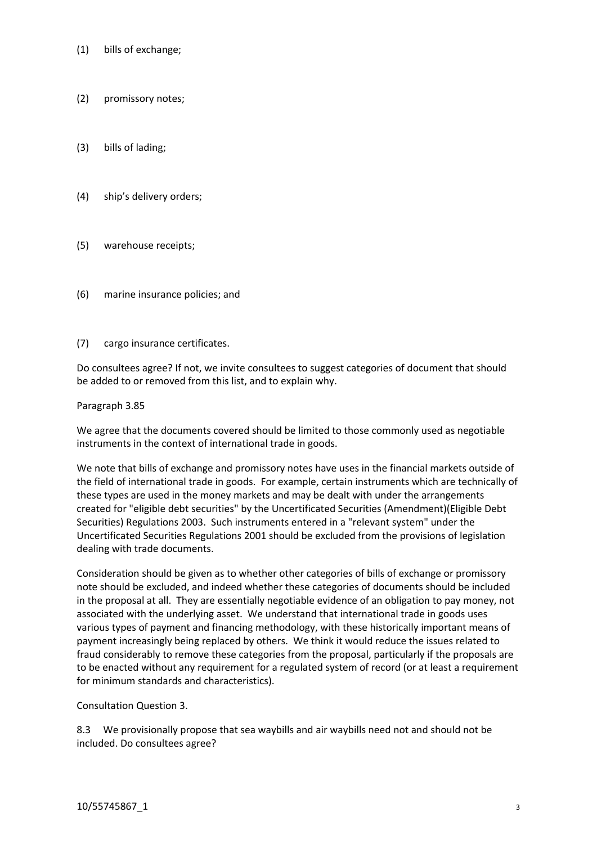- (1) bills of exchange;
- (2) promissory notes;
- (3) bills of lading;
- (4) ship's delivery orders;
- (5) warehouse receipts;
- (6) marine insurance policies; and
- (7) cargo insurance certificates.

Do consultees agree? If not, we invite consultees to suggest categories of document that should be added to or removed from this list, and to explain why.

Paragraph 3.85

We agree that the documents covered should be limited to those commonly used as negotiable instruments in the context of international trade in goods.

We note that bills of exchange and promissory notes have uses in the financial markets outside of the field of international trade in goods. For example, certain instruments which are technically of these types are used in the money markets and may be dealt with under the arrangements created for "eligible debt securities" by the Uncertificated Securities (Amendment)(Eligible Debt Securities) Regulations 2003. Such instruments entered in a "relevant system" under the Uncertificated Securities Regulations 2001 should be excluded from the provisions of legislation dealing with trade documents.

Consideration should be given as to whether other categories of bills of exchange or promissory note should be excluded, and indeed whether these categories of documents should be included in the proposal at all. They are essentially negotiable evidence of an obligation to pay money, not associated with the underlying asset. We understand that international trade in goods uses various types of payment and financing methodology, with these historically important means of payment increasingly being replaced by others. We think it would reduce the issues related to fraud considerably to remove these categories from the proposal, particularly if the proposals are to be enacted without any requirement for a regulated system of record (or at least a requirement for minimum standards and characteristics).

Consultation Question 3.

8.3 We provisionally propose that sea waybills and air waybills need not and should not be included. Do consultees agree?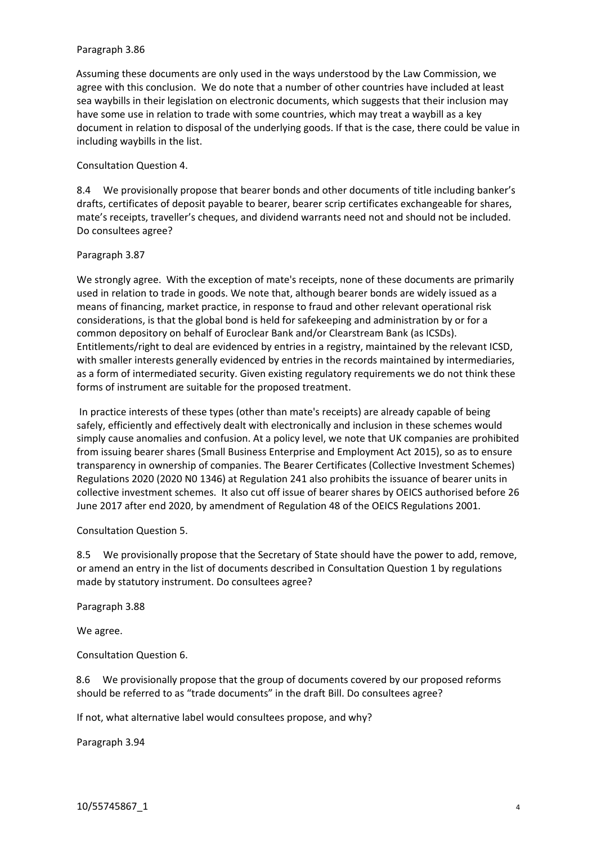### Paragraph 3.86

Assuming these documents are only used in the ways understood by the Law Commission, we agree with this conclusion. We do note that a number of other countries have included at least sea waybills in their legislation on electronic documents, which suggests that their inclusion may have some use in relation to trade with some countries, which may treat a waybill as a key document in relation to disposal of the underlying goods. If that is the case, there could be value in including waybills in the list.

Consultation Question 4.

8.4 We provisionally propose that bearer bonds and other documents of title including banker's drafts, certificates of deposit payable to bearer, bearer scrip certificates exchangeable for shares, mate's receipts, traveller's cheques, and dividend warrants need not and should not be included. Do consultees agree?

Paragraph 3.87

We strongly agree. With the exception of mate's receipts, none of these documents are primarily used in relation to trade in goods. We note that, although bearer bonds are widely issued as a means of financing, market practice, in response to fraud and other relevant operational risk considerations, is that the global bond is held for safekeeping and administration by or for a common depository on behalf of Euroclear Bank and/or Clearstream Bank (as ICSDs). Entitlements/right to deal are evidenced by entries in a registry, maintained by the relevant ICSD, with smaller interests generally evidenced by entries in the records maintained by intermediaries, as a form of intermediated security. Given existing regulatory requirements we do not think these forms of instrument are suitable for the proposed treatment.

In practice interests of these types (other than mate's receipts) are already capable of being safely, efficiently and effectively dealt with electronically and inclusion in these schemes would simply cause anomalies and confusion. At a policy level, we note that UK companies are prohibited from issuing bearer shares (Small Business Enterprise and Employment Act 2015), so as to ensure transparency in ownership of companies. The Bearer Certificates (Collective Investment Schemes) Regulations 2020 (2020 N0 1346) at Regulation 241 also prohibits the issuance of bearer units in collective investment schemes. It also cut off issue of bearer shares by OEICS authorised before 26 June 2017 after end 2020, by amendment of Regulation 48 of the OEICS Regulations 2001.

Consultation Question 5.

8.5 We provisionally propose that the Secretary of State should have the power to add, remove, or amend an entry in the list of documents described in Consultation Question 1 by regulations made by statutory instrument. Do consultees agree?

Paragraph 3.88

We agree.

Consultation Question 6.

8.6 We provisionally propose that the group of documents covered by our proposed reforms should be referred to as "trade documents" in the draft Bill. Do consultees agree?

If not, what alternative label would consultees propose, and why?

Paragraph 3.94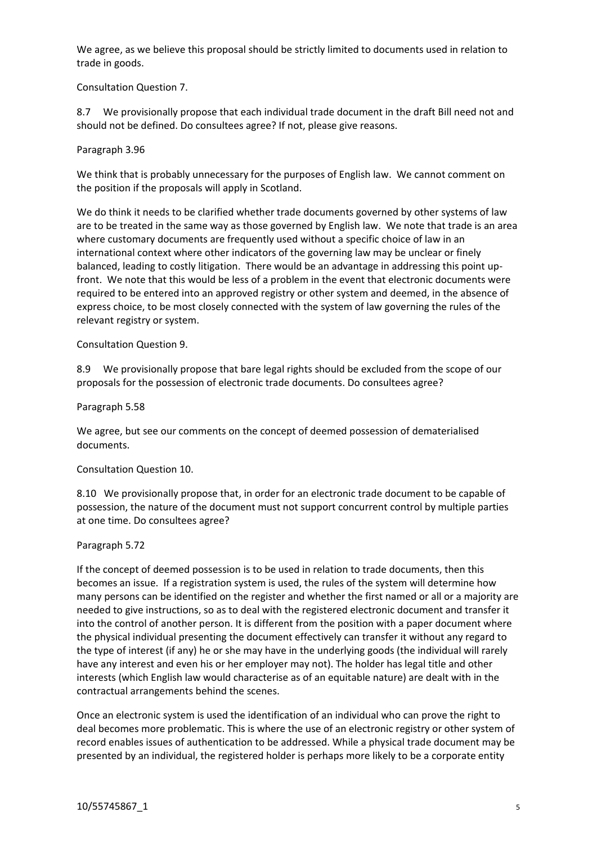We agree, as we believe this proposal should be strictly limited to documents used in relation to trade in goods.

Consultation Question 7.

8.7 We provisionally propose that each individual trade document in the draft Bill need not and should not be defined. Do consultees agree? If not, please give reasons.

Paragraph 3.96

We think that is probably unnecessary for the purposes of English law. We cannot comment on the position if the proposals will apply in Scotland.

We do think it needs to be clarified whether trade documents governed by other systems of law are to be treated in the same way as those governed by English law. We note that trade is an area where customary documents are frequently used without a specific choice of law in an international context where other indicators of the governing law may be unclear or finely balanced, leading to costly litigation. There would be an advantage in addressing this point upfront. We note that this would be less of a problem in the event that electronic documents were required to be entered into an approved registry or other system and deemed, in the absence of express choice, to be most closely connected with the system of law governing the rules of the relevant registry or system.

Consultation Question 9.

8.9 We provisionally propose that bare legal rights should be excluded from the scope of our proposals for the possession of electronic trade documents. Do consultees agree?

Paragraph 5.58

We agree, but see our comments on the concept of deemed possession of dematerialised documents.

Consultation Question 10.

8.10 We provisionally propose that, in order for an electronic trade document to be capable of possession, the nature of the document must not support concurrent control by multiple parties at one time. Do consultees agree?

Paragraph 5.72

If the concept of deemed possession is to be used in relation to trade documents, then this becomes an issue. If a registration system is used, the rules of the system will determine how many persons can be identified on the register and whether the first named or all or a majority are needed to give instructions, so as to deal with the registered electronic document and transfer it into the control of another person. It is different from the position with a paper document where the physical individual presenting the document effectively can transfer it without any regard to the type of interest (if any) he or she may have in the underlying goods (the individual will rarely have any interest and even his or her employer may not). The holder has legal title and other interests (which English law would characterise as of an equitable nature) are dealt with in the contractual arrangements behind the scenes.

Once an electronic system is used the identification of an individual who can prove the right to deal becomes more problematic. This is where the use of an electronic registry or other system of record enables issues of authentication to be addressed. While a physical trade document may be presented by an individual, the registered holder is perhaps more likely to be a corporate entity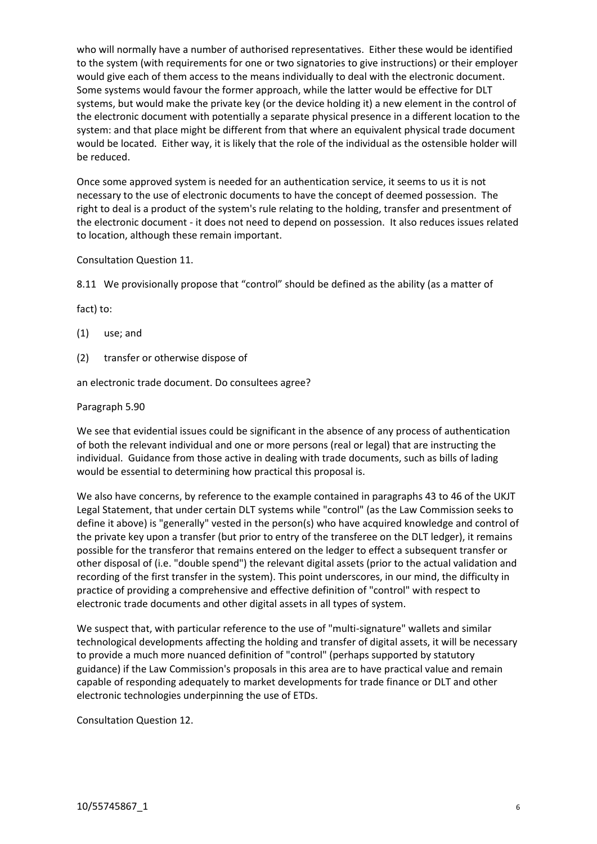who will normally have a number of authorised representatives. Either these would be identified to the system (with requirements for one or two signatories to give instructions) or their employer would give each of them access to the means individually to deal with the electronic document. Some systems would favour the former approach, while the latter would be effective for DLT systems, but would make the private key (or the device holding it) a new element in the control of the electronic document with potentially a separate physical presence in a different location to the system: and that place might be different from that where an equivalent physical trade document would be located. Either way, it is likely that the role of the individual as the ostensible holder will be reduced.

Once some approved system is needed for an authentication service, it seems to us it is not necessary to the use of electronic documents to have the concept of deemed possession. The right to deal is a product of the system's rule relating to the holding, transfer and presentment of the electronic document - it does not need to depend on possession. It also reduces issues related to location, although these remain important.

Consultation Question 11.

8.11 We provisionally propose that "control" should be defined as the ability (as a matter of

fact) to:

- (1) use; and
- (2) transfer or otherwise dispose of

an electronic trade document. Do consultees agree?

Paragraph 5.90

We see that evidential issues could be significant in the absence of any process of authentication of both the relevant individual and one or more persons (real or legal) that are instructing the individual. Guidance from those active in dealing with trade documents, such as bills of lading would be essential to determining how practical this proposal is.

We also have concerns, by reference to the example contained in paragraphs 43 to 46 of the UKJT Legal Statement, that under certain DLT systems while "control" (as the Law Commission seeks to define it above) is "generally" vested in the person(s) who have acquired knowledge and control of the private key upon a transfer (but prior to entry of the transferee on the DLT ledger), it remains possible for the transferor that remains entered on the ledger to effect a subsequent transfer or other disposal of (i.e. "double spend") the relevant digital assets (prior to the actual validation and recording of the first transfer in the system). This point underscores, in our mind, the difficulty in practice of providing a comprehensive and effective definition of "control" with respect to electronic trade documents and other digital assets in all types of system.

We suspect that, with particular reference to the use of "multi-signature" wallets and similar technological developments affecting the holding and transfer of digital assets, it will be necessary to provide a much more nuanced definition of "control" (perhaps supported by statutory guidance) if the Law Commission's proposals in this area are to have practical value and remain capable of responding adequately to market developments for trade finance or DLT and other electronic technologies underpinning the use of ETDs.

Consultation Question 12.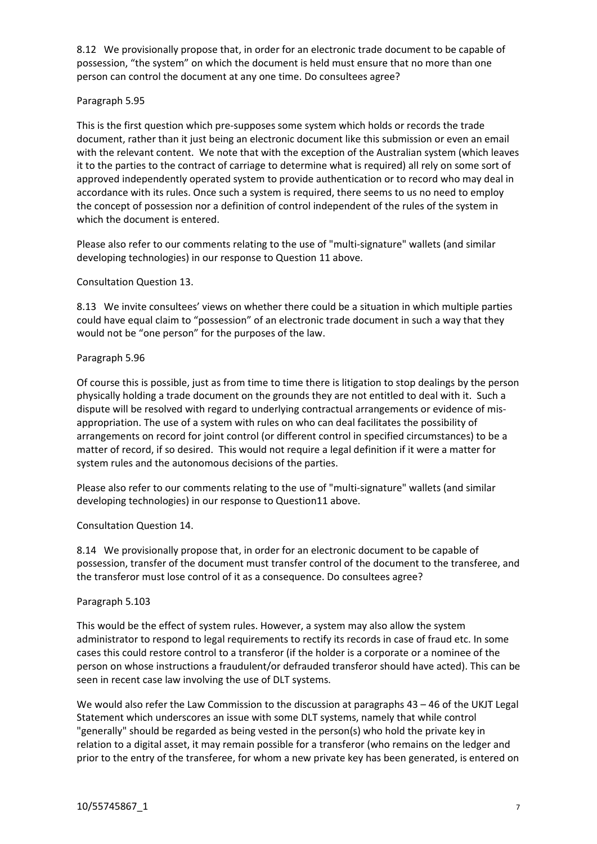8.12 We provisionally propose that, in order for an electronic trade document to be capable of possession, "the system" on which the document is held must ensure that no more than one person can control the document at any one time. Do consultees agree?

# Paragraph 5.95

This is the first question which pre-supposes some system which holds or records the trade document, rather than it just being an electronic document like this submission or even an email with the relevant content. We note that with the exception of the Australian system (which leaves it to the parties to the contract of carriage to determine what is required) all rely on some sort of approved independently operated system to provide authentication or to record who may deal in accordance with its rules. Once such a system is required, there seems to us no need to employ the concept of possession nor a definition of control independent of the rules of the system in which the document is entered.

Please also refer to our comments relating to the use of "multi-signature" wallets (and similar developing technologies) in our response to Question 11 above.

# Consultation Question 13.

8.13 We invite consultees' views on whether there could be a situation in which multiple parties could have equal claim to "possession" of an electronic trade document in such a way that they would not be "one person" for the purposes of the law.

## Paragraph 5.96

Of course this is possible, just as from time to time there is litigation to stop dealings by the person physically holding a trade document on the grounds they are not entitled to deal with it. Such a dispute will be resolved with regard to underlying contractual arrangements or evidence of misappropriation. The use of a system with rules on who can deal facilitates the possibility of arrangements on record for joint control (or different control in specified circumstances) to be a matter of record, if so desired. This would not require a legal definition if it were a matter for system rules and the autonomous decisions of the parties.

Please also refer to our comments relating to the use of "multi-signature" wallets (and similar developing technologies) in our response to Question11 above.

## Consultation Question 14.

8.14 We provisionally propose that, in order for an electronic document to be capable of possession, transfer of the document must transfer control of the document to the transferee, and the transferor must lose control of it as a consequence. Do consultees agree?

## Paragraph 5.103

This would be the effect of system rules. However, a system may also allow the system administrator to respond to legal requirements to rectify its records in case of fraud etc. In some cases this could restore control to a transferor (if the holder is a corporate or a nominee of the person on whose instructions a fraudulent/or defrauded transferor should have acted). This can be seen in recent case law involving the use of DLT systems.

We would also refer the Law Commission to the discussion at paragraphs 43 – 46 of the UKJT Legal Statement which underscores an issue with some DLT systems, namely that while control "generally" should be regarded as being vested in the person(s) who hold the private key in relation to a digital asset, it may remain possible for a transferor (who remains on the ledger and prior to the entry of the transferee, for whom a new private key has been generated, is entered on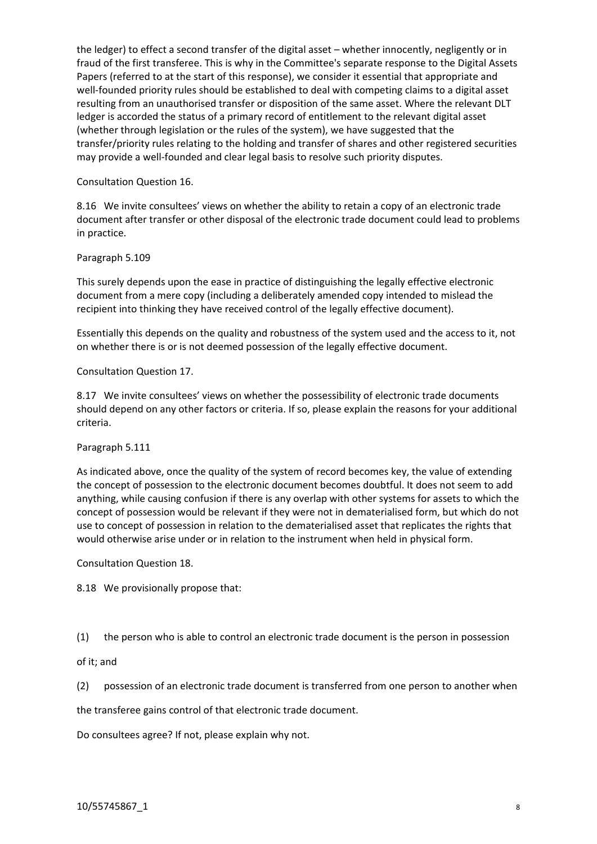the ledger) to effect a second transfer of the digital asset – whether innocently, negligently or in fraud of the first transferee. This is why in the Committee's separate response to the Digital Assets Papers (referred to at the start of this response), we consider it essential that appropriate and well-founded priority rules should be established to deal with competing claims to a digital asset resulting from an unauthorised transfer or disposition of the same asset. Where the relevant DLT ledger is accorded the status of a primary record of entitlement to the relevant digital asset (whether through legislation or the rules of the system), we have suggested that the transfer/priority rules relating to the holding and transfer of shares and other registered securities may provide a well-founded and clear legal basis to resolve such priority disputes.

Consultation Question 16.

8.16 We invite consultees' views on whether the ability to retain a copy of an electronic trade document after transfer or other disposal of the electronic trade document could lead to problems in practice.

Paragraph 5.109

This surely depends upon the ease in practice of distinguishing the legally effective electronic document from a mere copy (including a deliberately amended copy intended to mislead the recipient into thinking they have received control of the legally effective document).

Essentially this depends on the quality and robustness of the system used and the access to it, not on whether there is or is not deemed possession of the legally effective document.

Consultation Question 17.

8.17 We invite consultees' views on whether the possessibility of electronic trade documents should depend on any other factors or criteria. If so, please explain the reasons for your additional criteria.

Paragraph 5.111

As indicated above, once the quality of the system of record becomes key, the value of extending the concept of possession to the electronic document becomes doubtful. It does not seem to add anything, while causing confusion if there is any overlap with other systems for assets to which the concept of possession would be relevant if they were not in dematerialised form, but which do not use to concept of possession in relation to the dematerialised asset that replicates the rights that would otherwise arise under or in relation to the instrument when held in physical form.

Consultation Question 18.

8.18 We provisionally propose that:

(1) the person who is able to control an electronic trade document is the person in possession

of it; and

(2) possession of an electronic trade document is transferred from one person to another when

the transferee gains control of that electronic trade document.

Do consultees agree? If not, please explain why not.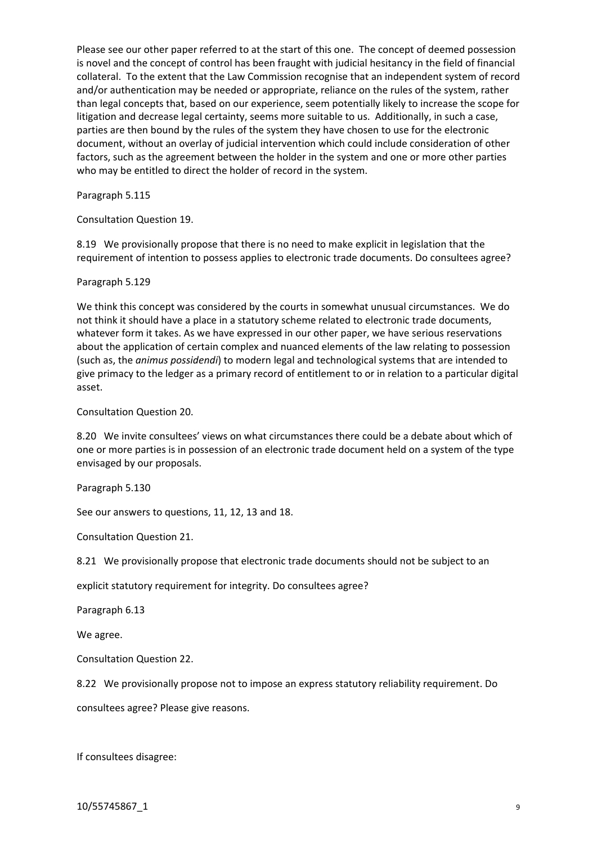Please see our other paper referred to at the start of this one. The concept of deemed possession is novel and the concept of control has been fraught with judicial hesitancy in the field of financial collateral. To the extent that the Law Commission recognise that an independent system of record and/or authentication may be needed or appropriate, reliance on the rules of the system, rather than legal concepts that, based on our experience, seem potentially likely to increase the scope for litigation and decrease legal certainty, seems more suitable to us. Additionally, in such a case, parties are then bound by the rules of the system they have chosen to use for the electronic document, without an overlay of judicial intervention which could include consideration of other factors, such as the agreement between the holder in the system and one or more other parties who may be entitled to direct the holder of record in the system.

Paragraph 5.115

Consultation Question 19.

8.19 We provisionally propose that there is no need to make explicit in legislation that the requirement of intention to possess applies to electronic trade documents. Do consultees agree?

Paragraph 5.129

We think this concept was considered by the courts in somewhat unusual circumstances. We do not think it should have a place in a statutory scheme related to electronic trade documents, whatever form it takes. As we have expressed in our other paper, we have serious reservations about the application of certain complex and nuanced elements of the law relating to possession (such as, the *animus possidendi*) to modern legal and technological systems that are intended to give primacy to the ledger as a primary record of entitlement to or in relation to a particular digital asset.

Consultation Question 20.

8.20 We invite consultees' views on what circumstances there could be a debate about which of one or more parties is in possession of an electronic trade document held on a system of the type envisaged by our proposals.

Paragraph 5.130

See our answers to questions, 11, 12, 13 and 18.

Consultation Question 21.

8.21 We provisionally propose that electronic trade documents should not be subject to an

explicit statutory requirement for integrity. Do consultees agree?

Paragraph 6.13

We agree.

Consultation Question 22.

8.22 We provisionally propose not to impose an express statutory reliability requirement. Do

consultees agree? Please give reasons.

If consultees disagree:

10/55745867\_1 9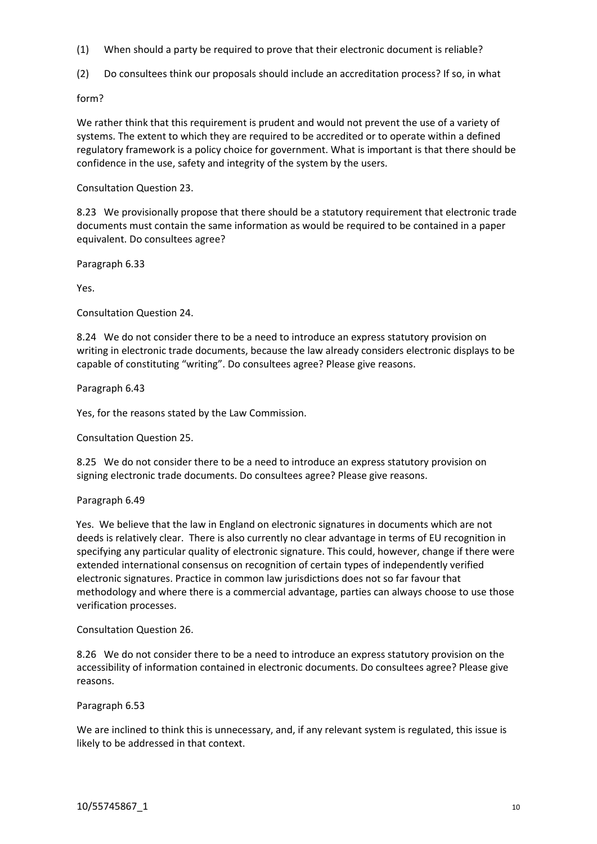- (1) When should a party be required to prove that their electronic document is reliable?
- (2) Do consultees think our proposals should include an accreditation process? If so, in what

form?

We rather think that this requirement is prudent and would not prevent the use of a variety of systems. The extent to which they are required to be accredited or to operate within a defined regulatory framework is a policy choice for government. What is important is that there should be confidence in the use, safety and integrity of the system by the users.

Consultation Question 23.

8.23 We provisionally propose that there should be a statutory requirement that electronic trade documents must contain the same information as would be required to be contained in a paper equivalent. Do consultees agree?

Paragraph 6.33

Yes.

Consultation Question 24.

8.24 We do not consider there to be a need to introduce an express statutory provision on writing in electronic trade documents, because the law already considers electronic displays to be capable of constituting "writing". Do consultees agree? Please give reasons.

Paragraph 6.43

Yes, for the reasons stated by the Law Commission.

Consultation Question 25.

8.25 We do not consider there to be a need to introduce an express statutory provision on signing electronic trade documents. Do consultees agree? Please give reasons.

#### Paragraph 6.49

Yes. We believe that the law in England on electronic signatures in documents which are not deeds is relatively clear. There is also currently no clear advantage in terms of EU recognition in specifying any particular quality of electronic signature. This could, however, change if there were extended international consensus on recognition of certain types of independently verified electronic signatures. Practice in common law jurisdictions does not so far favour that methodology and where there is a commercial advantage, parties can always choose to use those verification processes.

Consultation Question 26.

8.26 We do not consider there to be a need to introduce an express statutory provision on the accessibility of information contained in electronic documents. Do consultees agree? Please give reasons.

Paragraph 6.53

We are inclined to think this is unnecessary, and, if any relevant system is regulated, this issue is likely to be addressed in that context.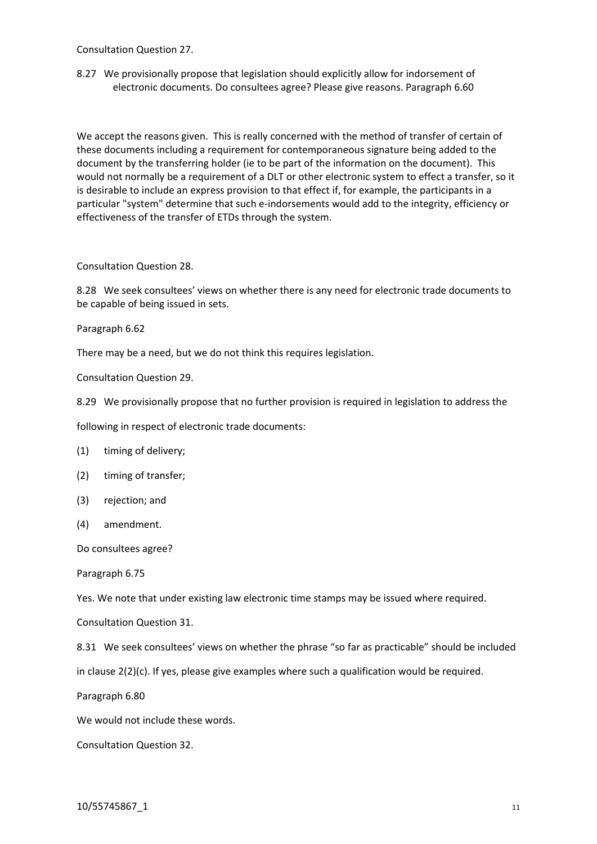Consultation Question 27.

8.27 We provisionally propose that legislation should explicitly allow for indorsement of electronic documents. Do consultees agree? Please give reasons. Paragraph 6.60

We accept the reasons given. This is really concerned with the method of transfer of certain of these documents including a requirement for contemporaneous signature being added to the document by the transferring holder (ie to be part of the information on the document). This would not normally be a requirement of a DLT or other electronic system to effect a transfer, so it is desirable to include an express provision to that effect if, for example, the participants in a particular "system" determine that such e-indorsements would add to the integrity, efficiency or effectiveness of the transfer of ETDs through the system.

Consultation Question 28.

8.28 We seek consultees' views on whether there is any need for electronic trade documents to be capable of being issued in sets.

Paragraph 6.62

There may be a need, but we do not think this requires legislation.

Consultation Question 29.

8.29 We provisionally propose that no further provision is required in legislation to address the

following in respect of electronic trade documents:

(1) timing of delivery;

- (2) timing of transfer;
- (3) rejection; and
- (4) amendment.

Do consultees agree?

Paragraph 6.75

Yes. We note that under existing law electronic time stamps may be issued where required.

Consultation Question 31.

8.31 We seek consultees' views on whether the phrase "so far as practicable" should be included

in clause 2(2)(c). If yes, please give examples where such a qualification would be required.

Paragraph 6.80

We would not include these words.

Consultation Question 32.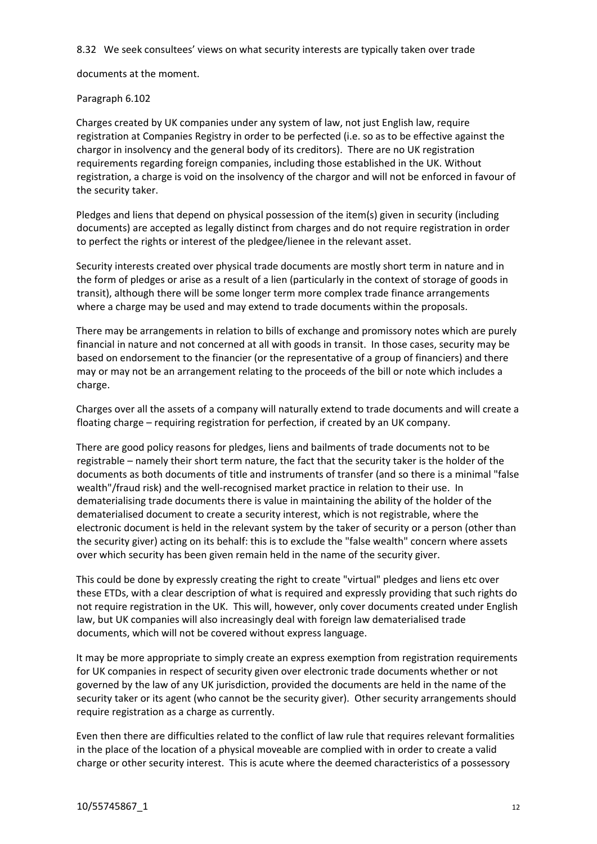8.32 We seek consultees' views on what security interests are typically taken over trade

documents at the moment.

# Paragraph 6.102

Charges created by UK companies under any system of law, not just English law, require registration at Companies Registry in order to be perfected (i.e. so as to be effective against the chargor in insolvency and the general body of its creditors). There are no UK registration requirements regarding foreign companies, including those established in the UK. Without registration, a charge is void on the insolvency of the chargor and will not be enforced in favour of the security taker.

Pledges and liens that depend on physical possession of the item(s) given in security (including documents) are accepted as legally distinct from charges and do not require registration in order to perfect the rights or interest of the pledgee/lienee in the relevant asset.

Security interests created over physical trade documents are mostly short term in nature and in the form of pledges or arise as a result of a lien (particularly in the context of storage of goods in transit), although there will be some longer term more complex trade finance arrangements where a charge may be used and may extend to trade documents within the proposals.

There may be arrangements in relation to bills of exchange and promissory notes which are purely financial in nature and not concerned at all with goods in transit. In those cases, security may be based on endorsement to the financier (or the representative of a group of financiers) and there may or may not be an arrangement relating to the proceeds of the bill or note which includes a charge.

Charges over all the assets of a company will naturally extend to trade documents and will create a floating charge – requiring registration for perfection, if created by an UK company.

There are good policy reasons for pledges, liens and bailments of trade documents not to be registrable – namely their short term nature, the fact that the security taker is the holder of the documents as both documents of title and instruments of transfer (and so there is a minimal "false wealth"/fraud risk) and the well-recognised market practice in relation to their use. In dematerialising trade documents there is value in maintaining the ability of the holder of the dematerialised document to create a security interest, which is not registrable, where the electronic document is held in the relevant system by the taker of security or a person (other than the security giver) acting on its behalf: this is to exclude the "false wealth" concern where assets over which security has been given remain held in the name of the security giver.

This could be done by expressly creating the right to create "virtual" pledges and liens etc over these ETDs, with a clear description of what is required and expressly providing that such rights do not require registration in the UK. This will, however, only cover documents created under English law, but UK companies will also increasingly deal with foreign law dematerialised trade documents, which will not be covered without express language.

It may be more appropriate to simply create an express exemption from registration requirements for UK companies in respect of security given over electronic trade documents whether or not governed by the law of any UK jurisdiction, provided the documents are held in the name of the security taker or its agent (who cannot be the security giver). Other security arrangements should require registration as a charge as currently.

Even then there are difficulties related to the conflict of law rule that requires relevant formalities in the place of the location of a physical moveable are complied with in order to create a valid charge or other security interest. This is acute where the deemed characteristics of a possessory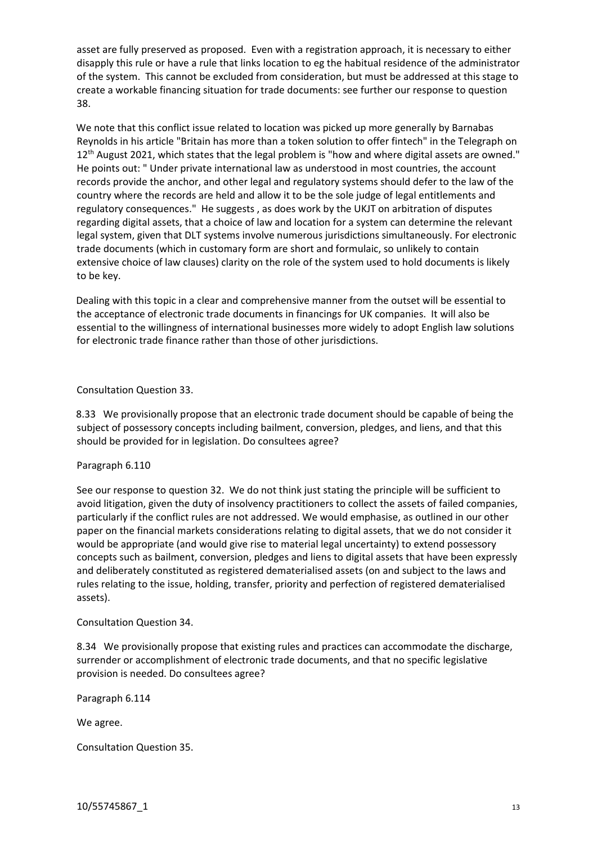asset are fully preserved as proposed. Even with a registration approach, it is necessary to either disapply this rule or have a rule that links location to eg the habitual residence of the administrator of the system. This cannot be excluded from consideration, but must be addressed at this stage to create a workable financing situation for trade documents: see further our response to question 38.

We note that this conflict issue related to location was picked up more generally by Barnabas Reynolds in his article "Britain has more than a token solution to offer fintech" in the Telegraph on 12<sup>th</sup> August 2021, which states that the legal problem is "how and where digital assets are owned." He points out: " Under private international law as understood in most countries, the account records provide the anchor, and other legal and regulatory systems should defer to the law of the country where the records are held and allow it to be the sole judge of legal entitlements and regulatory consequences." He suggests , as does work by the UKJT on arbitration of disputes regarding digital assets, that a choice of law and location for a system can determine the relevant legal system, given that DLT systems involve numerous jurisdictions simultaneously. For electronic trade documents (which in customary form are short and formulaic, so unlikely to contain extensive choice of law clauses) clarity on the role of the system used to hold documents is likely to be key.

Dealing with this topic in a clear and comprehensive manner from the outset will be essential to the acceptance of electronic trade documents in financings for UK companies. It will also be essential to the willingness of international businesses more widely to adopt English law solutions for electronic trade finance rather than those of other jurisdictions.

Consultation Question 33.

8.33 We provisionally propose that an electronic trade document should be capable of being the subject of possessory concepts including bailment, conversion, pledges, and liens, and that this should be provided for in legislation. Do consultees agree?

# Paragraph 6.110

See our response to question 32. We do not think just stating the principle will be sufficient to avoid litigation, given the duty of insolvency practitioners to collect the assets of failed companies, particularly if the conflict rules are not addressed. We would emphasise, as outlined in our other paper on the financial markets considerations relating to digital assets, that we do not consider it would be appropriate (and would give rise to material legal uncertainty) to extend possessory concepts such as bailment, conversion, pledges and liens to digital assets that have been expressly and deliberately constituted as registered dematerialised assets (on and subject to the laws and rules relating to the issue, holding, transfer, priority and perfection of registered dematerialised assets).

Consultation Question 34.

8.34 We provisionally propose that existing rules and practices can accommodate the discharge, surrender or accomplishment of electronic trade documents, and that no specific legislative provision is needed. Do consultees agree?

Paragraph 6.114

We agree.

Consultation Question 35.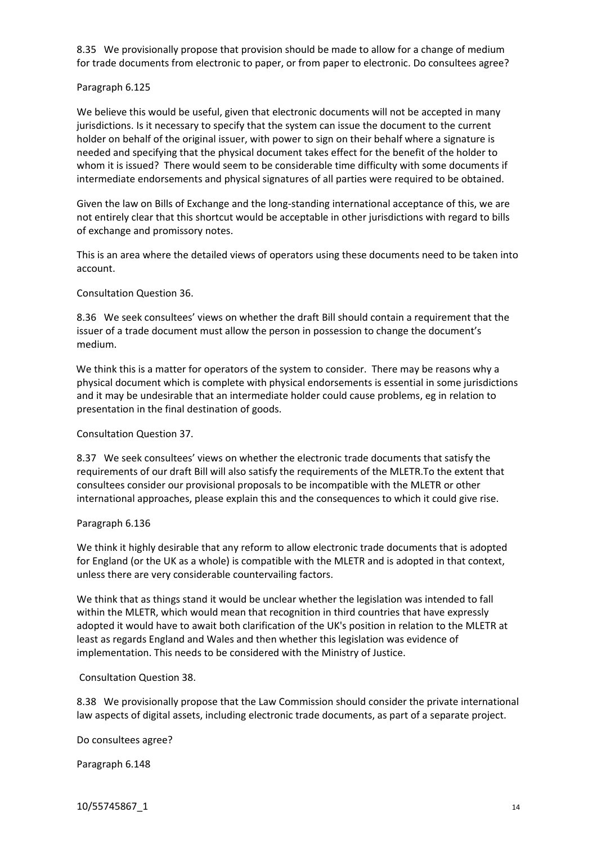8.35 We provisionally propose that provision should be made to allow for a change of medium for trade documents from electronic to paper, or from paper to electronic. Do consultees agree?

### Paragraph 6.125

We believe this would be useful, given that electronic documents will not be accepted in many jurisdictions. Is it necessary to specify that the system can issue the document to the current holder on behalf of the original issuer, with power to sign on their behalf where a signature is needed and specifying that the physical document takes effect for the benefit of the holder to whom it is issued? There would seem to be considerable time difficulty with some documents if intermediate endorsements and physical signatures of all parties were required to be obtained.

Given the law on Bills of Exchange and the long-standing international acceptance of this, we are not entirely clear that this shortcut would be acceptable in other jurisdictions with regard to bills of exchange and promissory notes.

This is an area where the detailed views of operators using these documents need to be taken into account.

Consultation Question 36.

8.36 We seek consultees' views on whether the draft Bill should contain a requirement that the issuer of a trade document must allow the person in possession to change the document's medium.

We think this is a matter for operators of the system to consider. There may be reasons why a physical document which is complete with physical endorsements is essential in some jurisdictions and it may be undesirable that an intermediate holder could cause problems, eg in relation to presentation in the final destination of goods.

#### Consultation Question 37.

8.37 We seek consultees' views on whether the electronic trade documents that satisfy the requirements of our draft Bill will also satisfy the requirements of the MLETR.To the extent that consultees consider our provisional proposals to be incompatible with the MLETR or other international approaches, please explain this and the consequences to which it could give rise.

#### Paragraph 6.136

We think it highly desirable that any reform to allow electronic trade documents that is adopted for England (or the UK as a whole) is compatible with the MLETR and is adopted in that context, unless there are very considerable countervailing factors.

We think that as things stand it would be unclear whether the legislation was intended to fall within the MLETR, which would mean that recognition in third countries that have expressly adopted it would have to await both clarification of the UK's position in relation to the MLETR at least as regards England and Wales and then whether this legislation was evidence of implementation. This needs to be considered with the Ministry of Justice.

Consultation Question 38.

8.38 We provisionally propose that the Law Commission should consider the private international law aspects of digital assets, including electronic trade documents, as part of a separate project.

Do consultees agree?

Paragraph 6.148

10/55745867\_1 14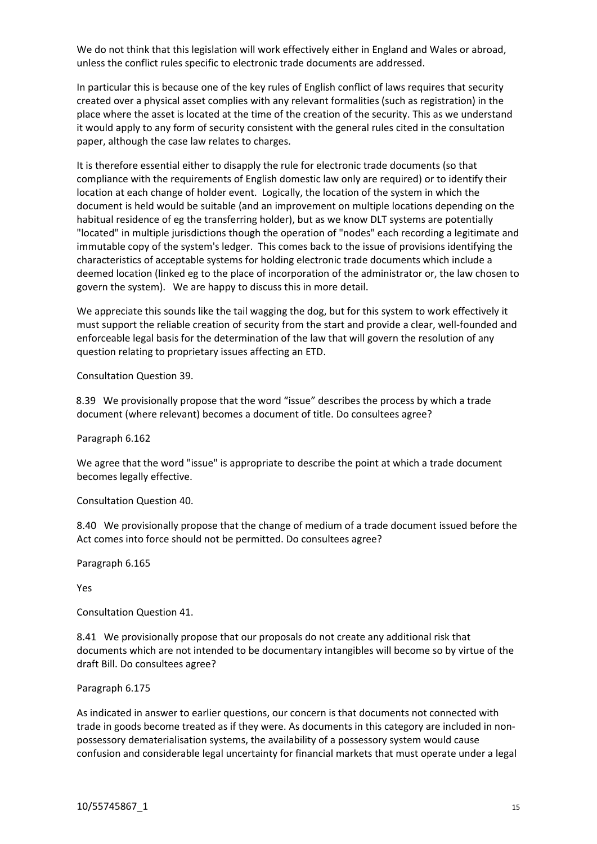We do not think that this legislation will work effectively either in England and Wales or abroad, unless the conflict rules specific to electronic trade documents are addressed.

In particular this is because one of the key rules of English conflict of laws requires that security created over a physical asset complies with any relevant formalities (such as registration) in the place where the asset is located at the time of the creation of the security. This as we understand it would apply to any form of security consistent with the general rules cited in the consultation paper, although the case law relates to charges.

It is therefore essential either to disapply the rule for electronic trade documents (so that compliance with the requirements of English domestic law only are required) or to identify their location at each change of holder event. Logically, the location of the system in which the document is held would be suitable (and an improvement on multiple locations depending on the habitual residence of eg the transferring holder), but as we know DLT systems are potentially "located" in multiple jurisdictions though the operation of "nodes" each recording a legitimate and immutable copy of the system's ledger. This comes back to the issue of provisions identifying the characteristics of acceptable systems for holding electronic trade documents which include a deemed location (linked eg to the place of incorporation of the administrator or, the law chosen to govern the system). We are happy to discuss this in more detail.

We appreciate this sounds like the tail wagging the dog, but for this system to work effectively it must support the reliable creation of security from the start and provide a clear, well-founded and enforceable legal basis for the determination of the law that will govern the resolution of any question relating to proprietary issues affecting an ETD.

Consultation Question 39.

8.39 We provisionally propose that the word "issue" describes the process by which a trade document (where relevant) becomes a document of title. Do consultees agree?

Paragraph 6.162

We agree that the word "issue" is appropriate to describe the point at which a trade document becomes legally effective.

Consultation Question 40.

8.40 We provisionally propose that the change of medium of a trade document issued before the Act comes into force should not be permitted. Do consultees agree?

Paragraph 6.165

Yes

Consultation Question 41.

8.41 We provisionally propose that our proposals do not create any additional risk that documents which are not intended to be documentary intangibles will become so by virtue of the draft Bill. Do consultees agree?

Paragraph 6.175

As indicated in answer to earlier questions, our concern is that documents not connected with trade in goods become treated as if they were. As documents in this category are included in nonpossessory dematerialisation systems, the availability of a possessory system would cause confusion and considerable legal uncertainty for financial markets that must operate under a legal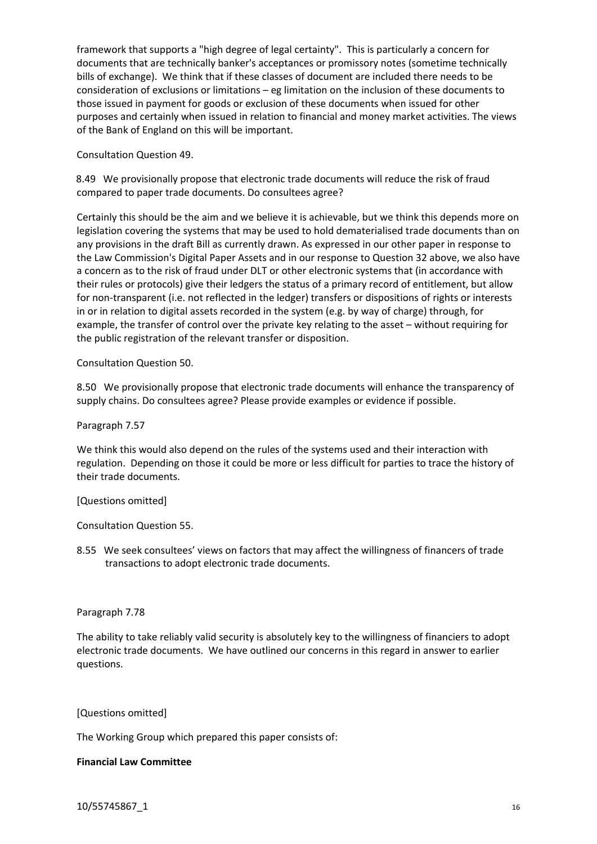framework that supports a "high degree of legal certainty". This is particularly a concern for documents that are technically banker's acceptances or promissory notes (sometime technically bills of exchange). We think that if these classes of document are included there needs to be consideration of exclusions or limitations – eg limitation on the inclusion of these documents to those issued in payment for goods or exclusion of these documents when issued for other purposes and certainly when issued in relation to financial and money market activities. The views of the Bank of England on this will be important.

Consultation Question 49.

8.49 We provisionally propose that electronic trade documents will reduce the risk of fraud compared to paper trade documents. Do consultees agree?

Certainly this should be the aim and we believe it is achievable, but we think this depends more on legislation covering the systems that may be used to hold dematerialised trade documents than on any provisions in the draft Bill as currently drawn. As expressed in our other paper in response to the Law Commission's Digital Paper Assets and in our response to Question 32 above, we also have a concern as to the risk of fraud under DLT or other electronic systems that (in accordance with their rules or protocols) give their ledgers the status of a primary record of entitlement, but allow for non-transparent (i.e. not reflected in the ledger) transfers or dispositions of rights or interests in or in relation to digital assets recorded in the system (e.g. by way of charge) through, for example, the transfer of control over the private key relating to the asset – without requiring for the public registration of the relevant transfer or disposition.

Consultation Question 50.

8.50 We provisionally propose that electronic trade documents will enhance the transparency of supply chains. Do consultees agree? Please provide examples or evidence if possible.

Paragraph 7.57

We think this would also depend on the rules of the systems used and their interaction with regulation. Depending on those it could be more or less difficult for parties to trace the history of their trade documents.

[Questions omitted]

Consultation Question 55.

8.55 We seek consultees' views on factors that may affect the willingness of financers of trade transactions to adopt electronic trade documents.

#### Paragraph 7.78

The ability to take reliably valid security is absolutely key to the willingness of financiers to adopt electronic trade documents. We have outlined our concerns in this regard in answer to earlier questions.

#### [Questions omitted]

The Working Group which prepared this paper consists of:

#### **Financial Law Committee**

10/55745867\_1 16